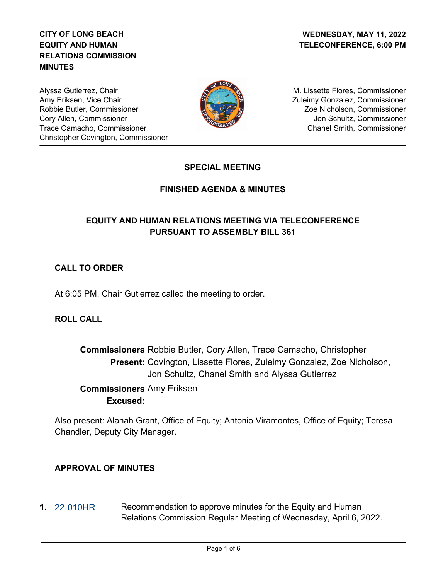# **CITY OF LONG BEACH EQUITY AND HUMAN RELATIONS COMMISSION MINUTES**

Alyssa Gutierrez, Chair Amy Eriksen, Vice Chair Robbie Butler, Commissioner Cory Allen, Commissioner Trace Camacho, Commissioner Christopher Covington, Commissioner



M. Lissette Flores, Commissioner Zuleimy Gonzalez, Commissioner Zoe Nicholson, Commissioner Jon Schultz, Commissioner Chanel Smith, Commissioner

## **SPECIAL MEETING**

## **FINISHED AGENDA & MINUTES**

# **EQUITY AND HUMAN RELATIONS MEETING VIA TELECONFERENCE PURSUANT TO ASSEMBLY BILL 361**

# **CALL TO ORDER**

At 6:05 PM, Chair Gutierrez called the meeting to order.

### **ROLL CALL**

**Commissioners** Robbie Butler, Cory Allen, Trace Camacho, Christopher Present: Covington, Lissette Flores, Zuleimy Gonzalez, Zoe Nicholson, Jon Schultz, Chanel Smith and Alyssa Gutierrez

 **Commissioners** Amy Eriksen **Excused:**

Also present: Alanah Grant, Office of Equity; Antonio Viramontes, Office of Equity; Teresa Chandler, Deputy City Manager.

### **APPROVAL OF MINUTES**

**1.** [22-010HR](http://longbeach.legistar.com/gateway.aspx?M=L&ID=239431) Recommendation to approve minutes for the Equity and Human Relations Commission Regular Meeting of Wednesday, April 6, 2022.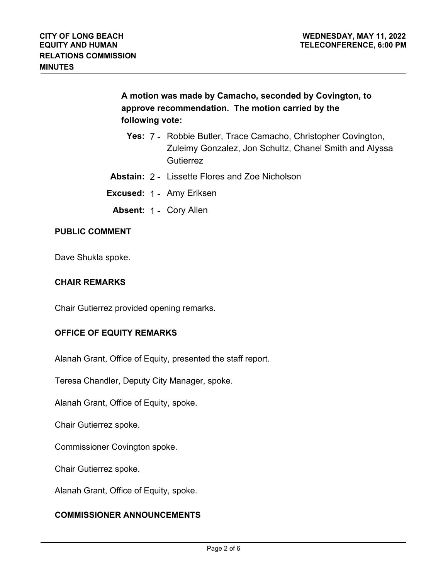**A motion was made by Camacho, seconded by Covington, to approve recommendation. The motion carried by the following vote:**

- **Yes:** 7 Robbie Butler, Trace Camacho, Christopher Covington, Zuleimy Gonzalez, Jon Schultz, Chanel Smith and Alyssa **Gutierrez**
- **Abstain:** 2 Lissette Flores and Zoe Nicholson
- **Excused:** 1 Amy Eriksen
	- **Absent:** 1 Cory Allen

#### **PUBLIC COMMENT**

Dave Shukla spoke.

#### **CHAIR REMARKS**

Chair Gutierrez provided opening remarks.

#### **OFFICE OF EQUITY REMARKS**

Alanah Grant, Office of Equity, presented the staff report.

Teresa Chandler, Deputy City Manager, spoke.

Alanah Grant, Office of Equity, spoke.

Chair Gutierrez spoke.

Commissioner Covington spoke.

Chair Gutierrez spoke.

Alanah Grant, Office of Equity, spoke.

#### **COMMISSIONER ANNOUNCEMENTS**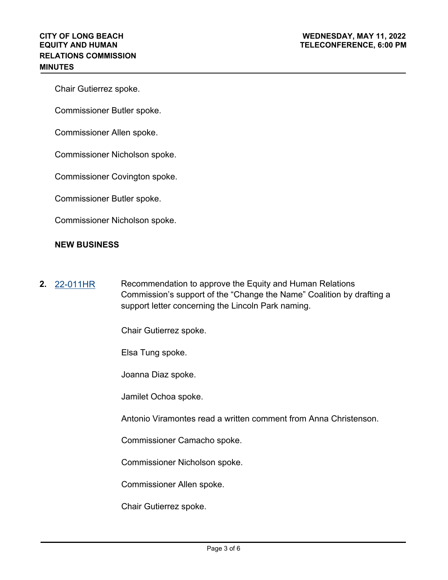Chair Gutierrez spoke.

Commissioner Butler spoke.

Commissioner Allen spoke.

Commissioner Nicholson spoke.

Commissioner Covington spoke.

Commissioner Butler spoke.

Commissioner Nicholson spoke.

#### **NEW BUSINESS**

**2.** [22-011HR](http://longbeach.legistar.com/gateway.aspx?M=L&ID=239432) Recommendation to approve the Equity and Human Relations Commission's support of the "Change the Name" Coalition by drafting a support letter concerning the Lincoln Park naming.

Chair Gutierrez spoke.

Elsa Tung spoke.

Joanna Diaz spoke.

Jamilet Ochoa spoke.

Antonio Viramontes read a written comment from Anna Christenson.

Commissioner Camacho spoke.

Commissioner Nicholson spoke.

Commissioner Allen spoke.

Chair Gutierrez spoke.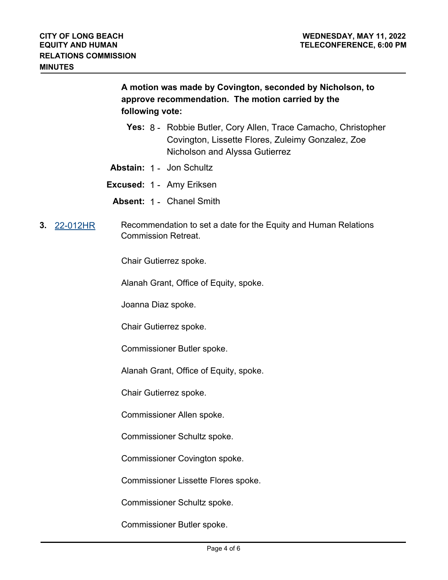**A motion was made by Covington, seconded by Nicholson, to approve recommendation. The motion carried by the following vote:**

- **Yes:** 8 Robbie Butler, Cory Allen, Trace Camacho, Christopher Covington, Lissette Flores, Zuleimy Gonzalez, Zoe Nicholson and Alyssa Gutierrez
- **Abstain:** 1 Jon Schultz

**Excused:** 1 - Amy Eriksen

**Absent:** 1 - Chanel Smith

**3.** [22-012HR](http://longbeach.legistar.com/gateway.aspx?M=L&ID=239522) Recommendation to set a date for the Equity and Human Relations Commission Retreat.

Chair Gutierrez spoke.

Alanah Grant, Office of Equity, spoke.

Joanna Diaz spoke.

Chair Gutierrez spoke.

Commissioner Butler spoke.

Alanah Grant, Office of Equity, spoke.

Chair Gutierrez spoke.

Commissioner Allen spoke.

Commissioner Schultz spoke.

Commissioner Covington spoke.

Commissioner Lissette Flores spoke.

Commissioner Schultz spoke.

Commissioner Butler spoke.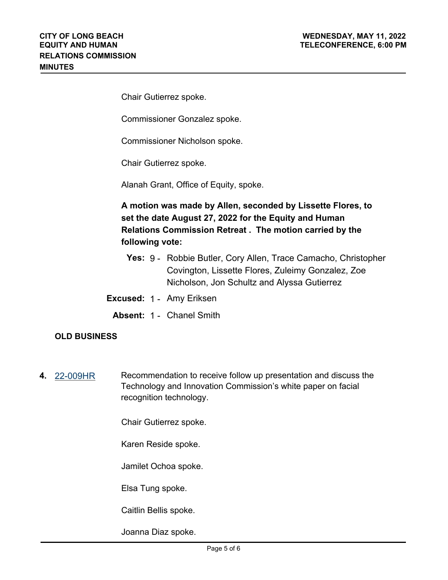Chair Gutierrez spoke.

Commissioner Gonzalez spoke.

Commissioner Nicholson spoke.

Chair Gutierrez spoke.

Alanah Grant, Office of Equity, spoke.

**A motion was made by Allen, seconded by Lissette Flores, to set the date August 27, 2022 for the Equity and Human Relations Commission Retreat . The motion carried by the following vote:**

- **Yes:** 9 Robbie Butler, Cory Allen, Trace Camacho, Christopher Covington, Lissette Flores, Zuleimy Gonzalez, Zoe Nicholson, Jon Schultz and Alyssa Gutierrez
- **Excused:** 1 Amy Eriksen
	- **Absent:** 1 Chanel Smith

### **OLD BUSINESS**

**4.** [22-009HR](http://longbeach.legistar.com/gateway.aspx?M=L&ID=239100) Recommendation to receive follow up presentation and discuss the Technology and Innovation Commission's white paper on facial recognition technology.

Chair Gutierrez spoke.

Karen Reside spoke.

Jamilet Ochoa spoke.

Elsa Tung spoke.

Caitlin Bellis spoke.

Joanna Diaz spoke.